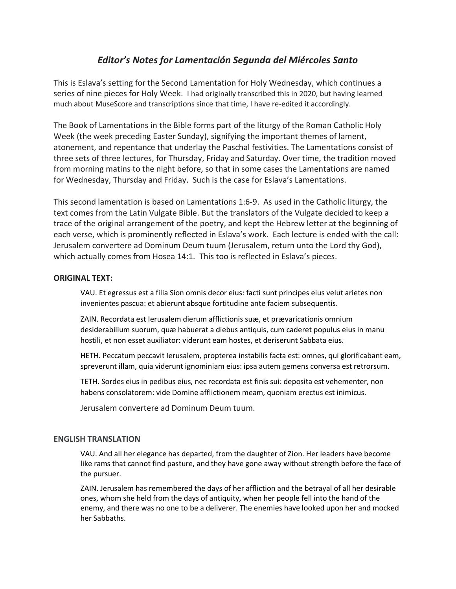## *Editor's Notes for Lamentación Segunda del Miércoles Santo*

This is Eslava's setting for the Second Lamentation for Holy Wednesday, which continues a series of nine pieces for Holy Week. I had originally transcribed this in 2020, but having learned much about MuseScore and transcriptions since that time, I have re-edited it accordingly.

The Book of Lamentations in the Bible forms part of the liturgy of the Roman Catholic Holy Week (the week preceding Easter Sunday), signifying the important themes of lament, atonement, and repentance that underlay the Paschal festivities. The Lamentations consist of three sets of three lectures, for Thursday, Friday and Saturday. Over time, the tradition moved from morning matins to the night before, so that in some cases the Lamentations are named for Wednesday, Thursday and Friday. Such is the case for Eslava's Lamentations.

This second lamentation is based on Lamentations 1:6-9. As used in the Catholic liturgy, the text comes from the Latin Vulgate Bible. But the translators of the Vulgate decided to keep a trace of the original arrangement of the poetry, and kept the Hebrew letter at the beginning of each verse, which is prominently reflected in Eslava's work. Each lecture is ended with the call: Jerusalem convertere ad Dominum Deum tuum (Jerusalem, return unto the Lord thy God), which actually comes from Hosea 14:1. This too is reflected in Eslava's pieces.

## **ORIGINAL TEXT:**

VAU. Et egressus est a filia Sion omnis decor eius: facti sunt principes eius velut arietes non invenientes pascua: et abierunt absque fortitudine ante faciem subsequentis.

ZAIN. Recordata est Ierusalem dierum afflictionis suæ, et prævaricationis omnium desiderabilium suorum, quæ habuerat a diebus antiquis, cum caderet populus eius in manu hostili, et non esset auxiliator: viderunt eam hostes, et deriserunt Sabbata eius.

HETH. Peccatum peccavit Ierusalem, propterea instabilis facta est: omnes, qui glorificabant eam, spreverunt illam, quia viderunt ignominiam eius: ipsa autem gemens conversa est retrorsum.

TETH. Sordes eius in pedibus eius, nec recordata est finis sui: deposita est vehementer, non habens consolatorem: vide Domine afflictionem meam, quoniam erectus est inimicus.

Jerusalem convertere ad Dominum Deum tuum.

## **ENGLISH TRANSLATION**

VAU. And all her elegance has departed, from the daughter of Zion. Her leaders have become like rams that cannot find pasture, and they have gone away without strength before the face of the pursuer.

ZAIN. Jerusalem has remembered the days of her affliction and the betrayal of all her desirable ones, whom she held from the days of antiquity, when her people fell into the hand of the enemy, and there was no one to be a deliverer. The enemies have looked upon her and mocked her Sabbaths.